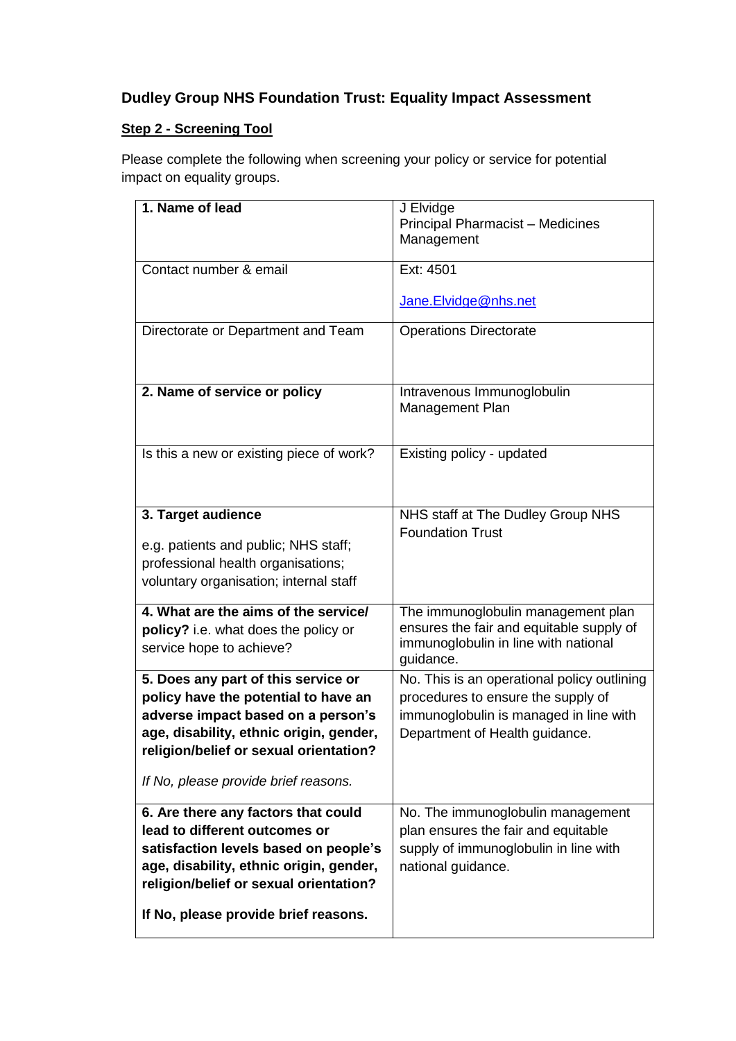## **Dudley Group NHS Foundation Trust: Equality Impact Assessment**

## **Step 2 - Screening Tool**

Please complete the following when screening your policy or service for potential impact on equality groups.

| 1. Name of lead                                                                                                                                                                                                                                | J Elvidge<br>Principal Pharmacist - Medicines<br>Management                                                                                                   |
|------------------------------------------------------------------------------------------------------------------------------------------------------------------------------------------------------------------------------------------------|---------------------------------------------------------------------------------------------------------------------------------------------------------------|
| Contact number & email                                                                                                                                                                                                                         | Ext: 4501<br>Jane.Elvidge@nhs.net                                                                                                                             |
| Directorate or Department and Team                                                                                                                                                                                                             | <b>Operations Directorate</b>                                                                                                                                 |
| 2. Name of service or policy                                                                                                                                                                                                                   | Intravenous Immunoglobulin<br>Management Plan                                                                                                                 |
| Is this a new or existing piece of work?                                                                                                                                                                                                       | Existing policy - updated                                                                                                                                     |
| 3. Target audience<br>e.g. patients and public; NHS staff;<br>professional health organisations;<br>voluntary organisation; internal staff                                                                                                     | NHS staff at The Dudley Group NHS<br><b>Foundation Trust</b>                                                                                                  |
| 4. What are the aims of the service/<br>policy? i.e. what does the policy or<br>service hope to achieve?                                                                                                                                       | The immunoglobulin management plan<br>ensures the fair and equitable supply of<br>immunoglobulin in line with national<br>guidance.                           |
| 5. Does any part of this service or<br>policy have the potential to have an<br>adverse impact based on a person's<br>age, disability, ethnic origin, gender,<br>religion/belief or sexual orientation?<br>If No, please provide brief reasons. | No. This is an operational policy outlining<br>procedures to ensure the supply of<br>immunoglobulin is managed in line with<br>Department of Health guidance. |
| 6. Are there any factors that could<br>lead to different outcomes or<br>satisfaction levels based on people's<br>age, disability, ethnic origin, gender,<br>religion/belief or sexual orientation?<br>If No, please provide brief reasons.     | No. The immunoglobulin management<br>plan ensures the fair and equitable<br>supply of immunoglobulin in line with<br>national guidance.                       |